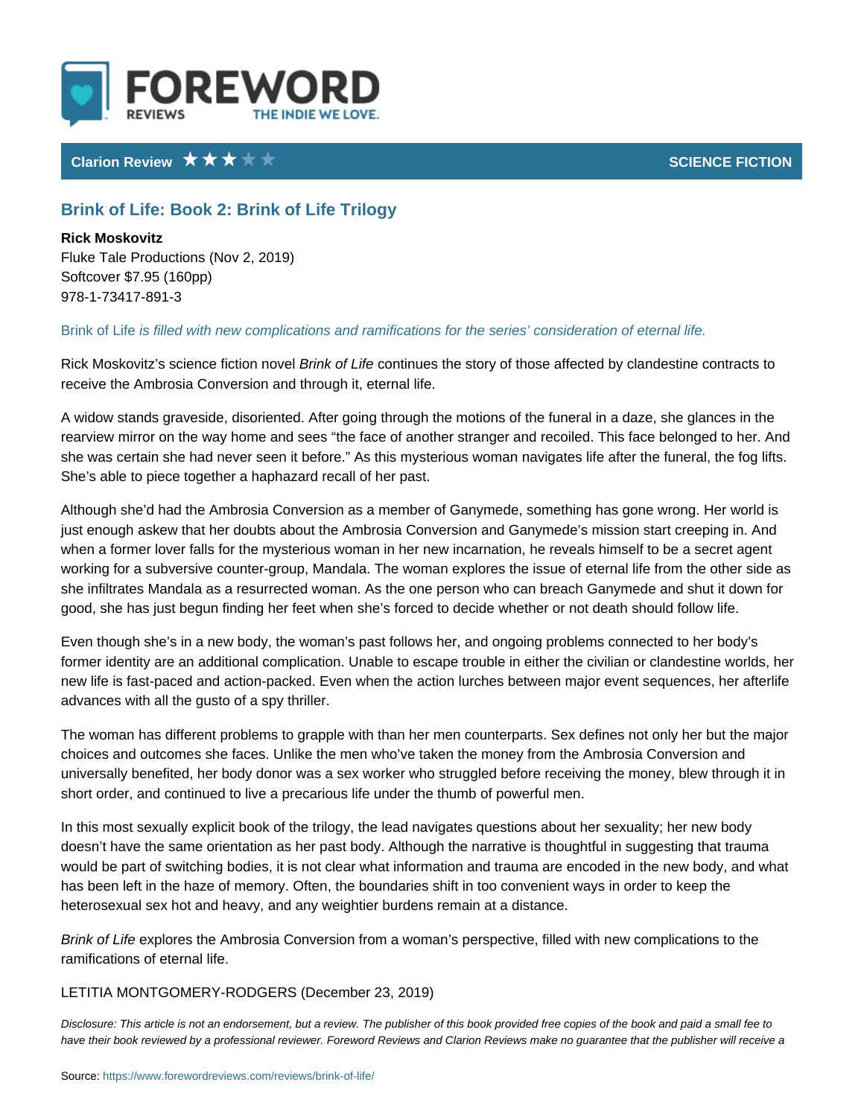## Clarion Review SCIENCE FICTION CONTROL CONTROL CONTROL CONTROL CONTROL CONTROL CONTROL CONTROL CONTROL CONTROL CONTROL CONTROL CONTROL CONTROL CONTROL CONTROL CONTROL CONTROL CONTROL CONTROL CONTROL CONTROL CONTROL CONTROL

## Brink of Life: Book 2: Brink of Life Trilogy

Rick Moskovitz Fluke Tale Productions (Nov 2, 2019) Softcover \$7.95 (160pp) 978-1-73417-891-3

Brink of ilsiffelled with new complications and ramifications for the series considerations

Rick Moskovitz s scienc Brinck ion fiction lues the story of those affected by clandes receive the Ambrosia Conversion and through it, eternal life.

A widow stands graveside, disoriented. After going through the motions of the f rearview mirror on the way home and sees the face of another stranger and red she was certain she had never seen it before. As this mysterious woman navigate after the func She s able to piece together a haphazard recall of her past.

Although she d had the Ambrosia Conversion as a member of Ganymede, someth just enough askew that her doubts about the Ambrosia Conversion and Ganymed when a former lover falls for the mysterious woman in her new incarnation, he re working for a subversive counter-group, Mandala. The woman explores the issue she infiltrates Mandala as a resurrected woman. As the one person who can bre good, she has just begun finding her feet when she s forced to decide whether

Even though she s in a new body, the woman s past follows her, and ongoing pr former identity are an additional complication. Unable to escape trouble in eith new life is fast-paced and action-packed. Even when the action lurches betweer advances with all the gusto of a spy thriller.

The woman has different problems to grapple with than her men counterparts. S choices and outcomes she faces. Unlike the men who ve taken the money from t universally benefited, her body donor was a sex worker who struggled before re short order, and continued to live a precarious life under the thumb of powerful

In this most sexually explicit book of the trilogy, the lead navigates questions doesn t have the same orientation as her past body. Although the narrative is t would be part of switching bodies, it is not clear what information and trauma a has been left in the haze of memory. Often, the boundaries shift in too conveni heterosexual sex hot and heavy, and any weightier burdens remain at a distance.

Brink of dipérores the Ambrosia Conversion from a woman s perspective, filled w ramifications of eternal life.

## LETITIA MONTGOMERY-RIDGLCGEMBS r 23, 2019)

Disclosure: This article is not an endorsement, but a review. The publisher of this book provided fr have their book reviewed by a professional reviewer. Foreword Reviews and Clarion Reviews make